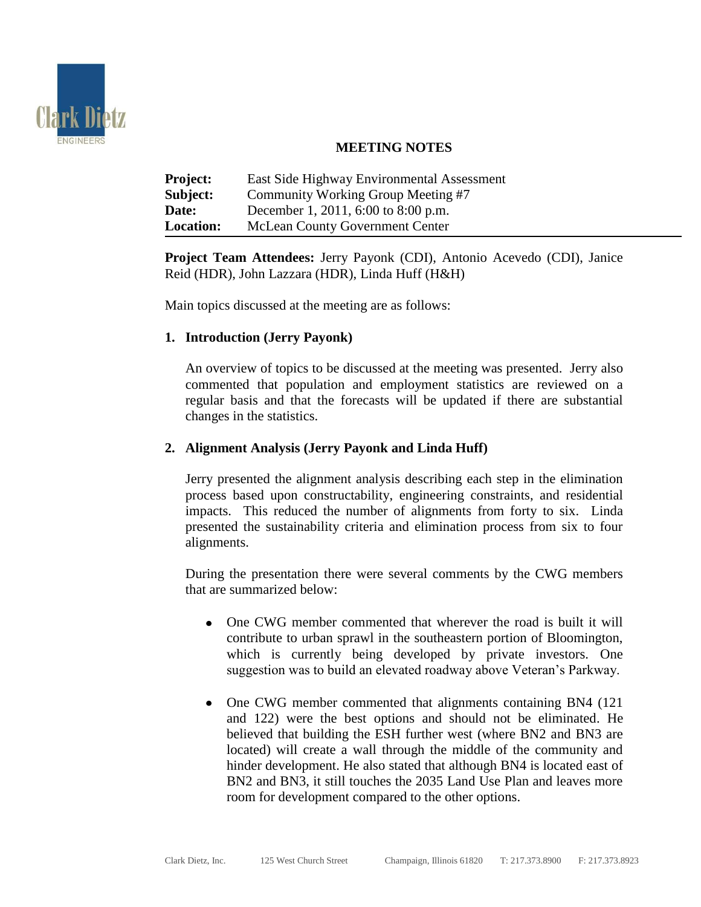

# **MEETING NOTES**

| <b>Project:</b>  | East Side Highway Environmental Assessment |
|------------------|--------------------------------------------|
| Subject:         | Community Working Group Meeting #7         |
| Date:            | December 1, 2011, 6:00 to 8:00 p.m.        |
| <b>Location:</b> | <b>McLean County Government Center</b>     |

**Project Team Attendees:** Jerry Payonk (CDI), Antonio Acevedo (CDI), Janice Reid (HDR), John Lazzara (HDR), Linda Huff (H&H)

Main topics discussed at the meeting are as follows:

## **1. Introduction (Jerry Payonk)**

An overview of topics to be discussed at the meeting was presented. Jerry also commented that population and employment statistics are reviewed on a regular basis and that the forecasts will be updated if there are substantial changes in the statistics.

### **2. Alignment Analysis (Jerry Payonk and Linda Huff)**

Jerry presented the alignment analysis describing each step in the elimination process based upon constructability, engineering constraints, and residential impacts. This reduced the number of alignments from forty to six. Linda presented the sustainability criteria and elimination process from six to four alignments.

During the presentation there were several comments by the CWG members that are summarized below:

- One CWG member commented that wherever the road is built it will contribute to urban sprawl in the southeastern portion of Bloomington, which is currently being developed by private investors. One suggestion was to build an elevated roadway above Veteran's Parkway.
- One CWG member commented that alignments containing BN4 (121) and 122) were the best options and should not be eliminated. He believed that building the ESH further west (where BN2 and BN3 are located) will create a wall through the middle of the community and hinder development. He also stated that although BN4 is located east of BN2 and BN3, it still touches the 2035 Land Use Plan and leaves more room for development compared to the other options.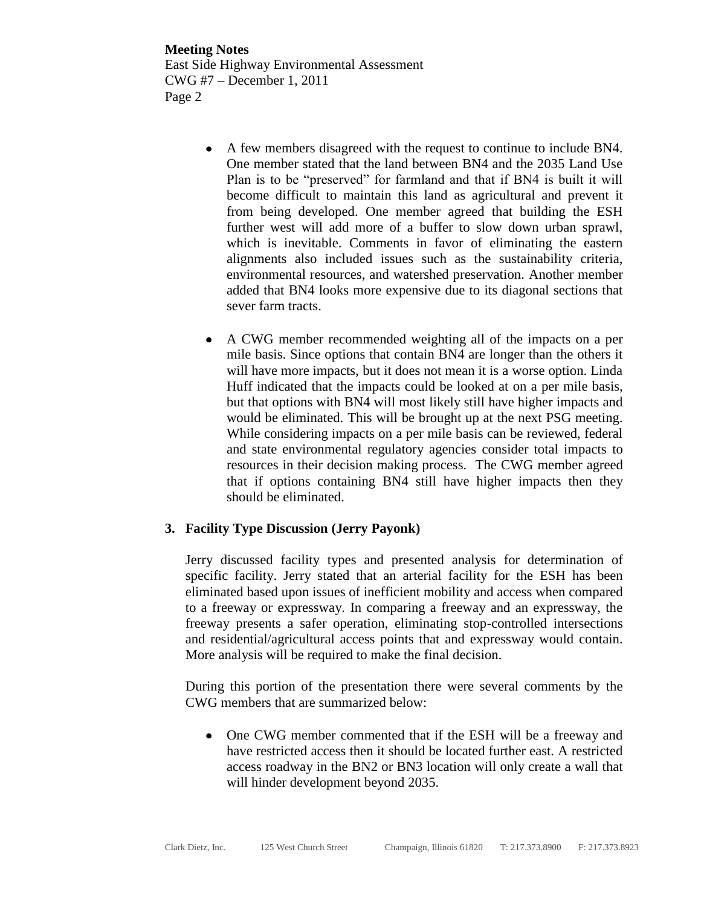**Meeting Notes** East Side Highway Environmental Assessment CWG #7 – December 1, 2011 Page 2

- A few members disagreed with the request to continue to include BN4. One member stated that the land between BN4 and the 2035 Land Use Plan is to be "preserved" for farmland and that if BN4 is built it will become difficult to maintain this land as agricultural and prevent it from being developed. One member agreed that building the ESH further west will add more of a buffer to slow down urban sprawl, which is inevitable. Comments in favor of eliminating the eastern alignments also included issues such as the sustainability criteria, environmental resources, and watershed preservation. Another member added that BN4 looks more expensive due to its diagonal sections that sever farm tracts.
- A CWG member recommended weighting all of the impacts on a per  $\bullet$ mile basis. Since options that contain BN4 are longer than the others it will have more impacts, but it does not mean it is a worse option. Linda Huff indicated that the impacts could be looked at on a per mile basis, but that options with BN4 will most likely still have higher impacts and would be eliminated. This will be brought up at the next PSG meeting. While considering impacts on a per mile basis can be reviewed, federal and state environmental regulatory agencies consider total impacts to resources in their decision making process. The CWG member agreed that if options containing BN4 still have higher impacts then they should be eliminated.

#### **3. Facility Type Discussion (Jerry Payonk)**

Jerry discussed facility types and presented analysis for determination of specific facility. Jerry stated that an arterial facility for the ESH has been eliminated based upon issues of inefficient mobility and access when compared to a freeway or expressway. In comparing a freeway and an expressway, the freeway presents a safer operation, eliminating stop-controlled intersections and residential/agricultural access points that and expressway would contain. More analysis will be required to make the final decision.

During this portion of the presentation there were several comments by the CWG members that are summarized below:

• One CWG member commented that if the ESH will be a freeway and have restricted access then it should be located further east. A restricted access roadway in the BN2 or BN3 location will only create a wall that will hinder development beyond 2035.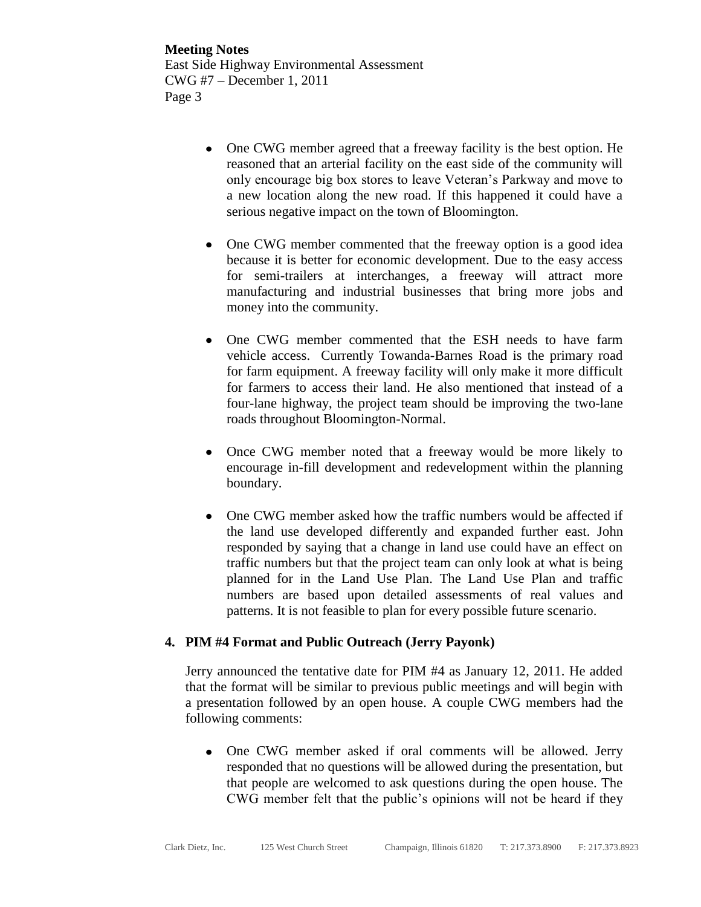**Meeting Notes** East Side Highway Environmental Assessment CWG #7 – December 1, 2011 Page 3

- One CWG member agreed that a freeway facility is the best option. He reasoned that an arterial facility on the east side of the community will only encourage big box stores to leave Veteran's Parkway and move to a new location along the new road. If this happened it could have a serious negative impact on the town of Bloomington.
- One CWG member commented that the freeway option is a good idea because it is better for economic development. Due to the easy access for semi-trailers at interchanges, a freeway will attract more manufacturing and industrial businesses that bring more jobs and money into the community.
- One CWG member commented that the ESH needs to have farm vehicle access. Currently Towanda-Barnes Road is the primary road for farm equipment. A freeway facility will only make it more difficult for farmers to access their land. He also mentioned that instead of a four-lane highway, the project team should be improving the two-lane roads throughout Bloomington-Normal.
- Once CWG member noted that a freeway would be more likely to encourage in-fill development and redevelopment within the planning boundary.
- One CWG member asked how the traffic numbers would be affected if the land use developed differently and expanded further east. John responded by saying that a change in land use could have an effect on traffic numbers but that the project team can only look at what is being planned for in the Land Use Plan. The Land Use Plan and traffic numbers are based upon detailed assessments of real values and patterns. It is not feasible to plan for every possible future scenario.

#### **4. PIM #4 Format and Public Outreach (Jerry Payonk)**

Jerry announced the tentative date for PIM #4 as January 12, 2011. He added that the format will be similar to previous public meetings and will begin with a presentation followed by an open house. A couple CWG members had the following comments:

One CWG member asked if oral comments will be allowed. Jerry responded that no questions will be allowed during the presentation, but that people are welcomed to ask questions during the open house. The CWG member felt that the public's opinions will not be heard if they